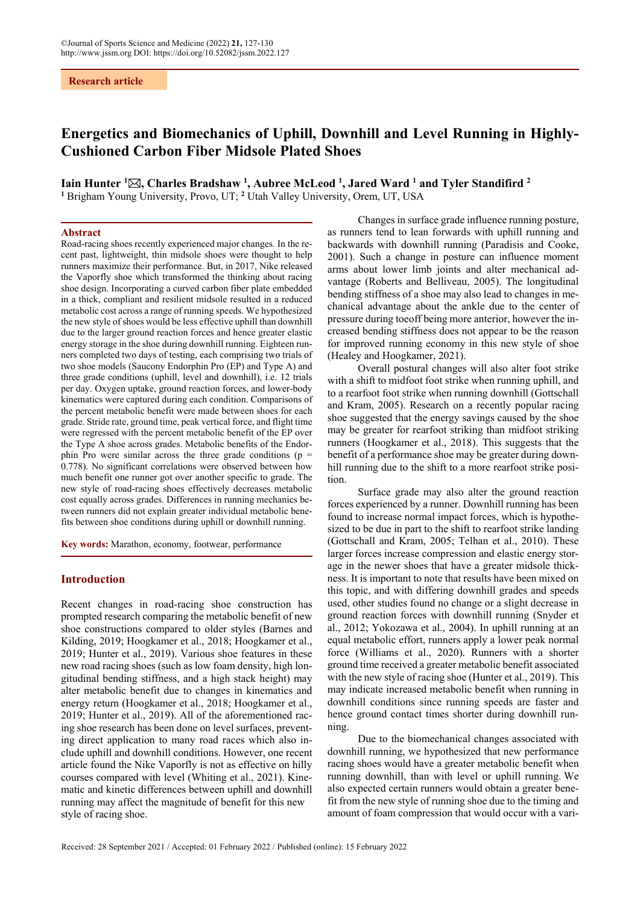## **Research article**

# **Energetics and Biomechanics of Uphill, Downhill and Level Running in Highly-Cushioned Carbon Fiber Midsole Plated Shoes**

**Iain Hunter <sup>1</sup>** $\boxtimes$ **, Charles Bradshaw <sup>1</sup>, Aubree McLeod <sup>1</sup>, Jared Ward <sup>1</sup> and Tyler Standifird <sup>2</sup><br><sup>1</sup> Brigham Young University Provo, LT: <sup>2</sup> Utah Valley University Orem, LT, USA** Brigham Young University, Provo, UT; <sup>2</sup> Utah Valley University, Orem, UT, USA

## **Abstract**

Road-racing shoes recently experienced major changes. In the recent past, lightweight, thin midsole shoes were thought to help runners maximize their performance. But, in 2017, Nike released the Vaporfly shoe which transformed the thinking about racing shoe design. Incorporating a curved carbon fiber plate embedded in a thick, compliant and resilient midsole resulted in a reduced metabolic cost across a range of running speeds. We hypothesized the new style of shoes would be less effective uphill than downhill due to the larger ground reaction forces and hence greater elastic energy storage in the shoe during downhill running. Eighteen runners completed two days of testing, each comprising two trials of two shoe models (Saucony Endorphin Pro (EP) and Type A) and three grade conditions (uphill, level and downhill), i.e. 12 trials per day. Oxygen uptake, ground reaction forces, and lower-body kinematics were captured during each condition. Comparisons of the percent metabolic benefit were made between shoes for each grade. Stride rate, ground time, peak vertical force, and flight time were regressed with the percent metabolic benefit of the EP over the Type A shoe across grades. Metabolic benefits of the Endorphin Pro were similar across the three grade conditions ( $p =$ 0.778). No significant correlations were observed between how much benefit one runner got over another specific to grade. The new style of road-racing shoes effectively decreases metabolic cost equally across grades. Differences in running mechanics between runners did not explain greater individual metabolic benefits between shoe conditions during uphill or downhill running.

**Key words:** Marathon, economy, footwear, performance

## **Introduction**

Recent changes in road-racing shoe construction has prompted research comparing the metabolic benefit of new shoe constructions compared to older styles (Barnes and Kilding, 2019; Hoogkamer et al., 2018; Hoogkamer et al., 2019; Hunter et al., 2019). Various shoe features in these new road racing shoes (such as low foam density, high longitudinal bending stiffness, and a high stack height) may alter metabolic benefit due to changes in kinematics and energy return (Hoogkamer et al., 2018; Hoogkamer et al., 2019; Hunter et al., 2019). All of the aforementioned racing shoe research has been done on level surfaces, preventing direct application to many road races which also include uphill and downhill conditions. However, one recent article found the Nike Vaporfly is not as effective on hilly courses compared with level (Whiting et al., 2021). Kinematic and kinetic differences between uphill and downhill running may affect the magnitude of benefit for this new style of racing shoe.

Changes in surface grade influence running posture, as runners tend to lean forwards with uphill running and backwards with downhill running (Paradisis and Cooke, 2001). Such a change in posture can influence moment arms about lower limb joints and alter mechanical advantage (Roberts and Belliveau, 2005). The longitudinal bending stiffness of a shoe may also lead to changes in mechanical advantage about the ankle due to the center of pressure during toeoff being more anterior, however the increased bending stiffness does not appear to be the reason for improved running economy in this new style of shoe (Healey and Hoogkamer, 2021).

Overall postural changes will also alter foot strike with a shift to midfoot foot strike when running uphill, and to a rearfoot foot strike when running downhill (Gottschall and Kram, 2005). Research on a recently popular racing shoe suggested that the energy savings caused by the shoe may be greater for rearfoot striking than midfoot striking runners (Hoogkamer et al., 2018). This suggests that the benefit of a performance shoe may be greater during downhill running due to the shift to a more rearfoot strike position.

Surface grade may also alter the ground reaction forces experienced by a runner. Downhill running has been found to increase normal impact forces, which is hypothesized to be due in part to the shift to rearfoot strike landing (Gottschall and Kram, 2005; Telhan et al., 2010). These larger forces increase compression and elastic energy storage in the newer shoes that have a greater midsole thickness. It is important to note that results have been mixed on this topic, and with differing downhill grades and speeds used, other studies found no change or a slight decrease in ground reaction forces with downhill running (Snyder et al., 2012; Yokozawa et al., 2004). In uphill running at an equal metabolic effort, runners apply a lower peak normal force (Williams et al., 2020). Runners with a shorter ground time received a greater metabolic benefit associated with the new style of racing shoe (Hunter et al., 2019). This may indicate increased metabolic benefit when running in downhill conditions since running speeds are faster and hence ground contact times shorter during downhill running.

Due to the biomechanical changes associated with downhill running, we hypothesized that new performance racing shoes would have a greater metabolic benefit when running downhill, than with level or uphill running. We also expected certain runners would obtain a greater benefit from the new style of running shoe due to the timing and amount of foam compression that would occur with a vari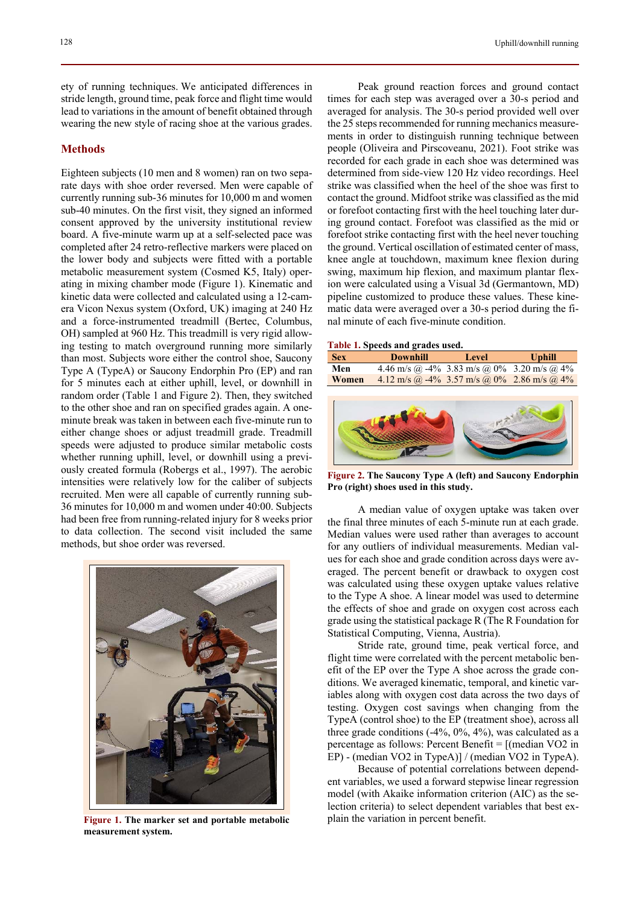ety of running techniques. We anticipated differences in stride length, ground time, peak force and flight time would lead to variations in the amount of benefit obtained through wearing the new style of racing shoe at the various grades.

## **Methods**

Eighteen subjects (10 men and 8 women) ran on two separate days with shoe order reversed. Men were capable of currently running sub-36 minutes for 10,000 m and women sub-40 minutes. On the first visit, they signed an informed consent approved by the university institutional review board. A five-minute warm up at a self-selected pace was completed after 24 retro-reflective markers were placed on the lower body and subjects were fitted with a portable metabolic measurement system (Cosmed K5, Italy) operating in mixing chamber mode (Figure 1). Kinematic and kinetic data were collected and calculated using a 12-camera Vicon Nexus system (Oxford, UK) imaging at 240 Hz and a force-instrumented treadmill (Bertec, Columbus, OH) sampled at 960 Hz. This treadmill is very rigid allowing testing to match overground running more similarly than most. Subjects wore either the control shoe, Saucony Type A (TypeA) or Saucony Endorphin Pro (EP) and ran for 5 minutes each at either uphill, level, or downhill in random order (Table 1 and Figure 2). Then, they switched to the other shoe and ran on specified grades again. A oneminute break was taken in between each five-minute run to either change shoes or adjust treadmill grade. Treadmill speeds were adjusted to produce similar metabolic costs whether running uphill, level, or downhill using a previously created formula (Robergs et al., 1997). The aerobic intensities were relatively low for the caliber of subjects recruited. Men were all capable of currently running sub-36 minutes for 10,000 m and women under 40:00. Subjects had been free from running-related injury for 8 weeks prior to data collection. The second visit included the same methods, but shoe order was reversed.



**Figure 1. The marker set and portable metabolic measurement system.** 

Peak ground reaction forces and ground contact times for each step was averaged over a 30-s period and averaged for analysis. The 30-s period provided well over the 25 steps recommended for running mechanics measurements in order to distinguish running technique between people (Oliveira and Pirscoveanu, 2021). Foot strike was recorded for each grade in each shoe was determined was determined from side-view 120 Hz video recordings. Heel strike was classified when the heel of the shoe was first to contact the ground. Midfoot strike was classified as the mid or forefoot contacting first with the heel touching later during ground contact. Forefoot was classified as the mid or forefoot strike contacting first with the heel never touching the ground. Vertical oscillation of estimated center of mass, knee angle at touchdown, maximum knee flexion during swing, maximum hip flexion, and maximum plantar flexion were calculated using a Visual 3d (Germantown, MD) pipeline customized to produce these values. These kinematic data were averaged over a 30-s period during the final minute of each five-minute condition.

#### **Table 1. Speeds and grades used.**



**Figure 2. The Saucony Type A (left) and Saucony Endorphin Pro (right) shoes used in this study.** 

A median value of oxygen uptake was taken over the final three minutes of each 5-minute run at each grade. Median values were used rather than averages to account for any outliers of individual measurements. Median values for each shoe and grade condition across days were averaged. The percent benefit or drawback to oxygen cost was calculated using these oxygen uptake values relative to the Type A shoe. A linear model was used to determine the effects of shoe and grade on oxygen cost across each grade using the statistical package R (The R Foundation for Statistical Computing, Vienna, Austria).

Stride rate, ground time, peak vertical force, and flight time were correlated with the percent metabolic benefit of the EP over the Type A shoe across the grade conditions. We averaged kinematic, temporal, and kinetic variables along with oxygen cost data across the two days of testing. Oxygen cost savings when changing from the TypeA (control shoe) to the EP (treatment shoe), across all three grade conditions (-4%, 0%, 4%), was calculated as a percentage as follows: Percent Benefit = [(median VO2 in EP) - (median VO2 in TypeA)] / (median VO2 in TypeA).

Because of potential correlations between dependent variables, we used a forward stepwise linear regression model (with Akaike information criterion (AIC) as the selection criteria) to select dependent variables that best explain the variation in percent benefit.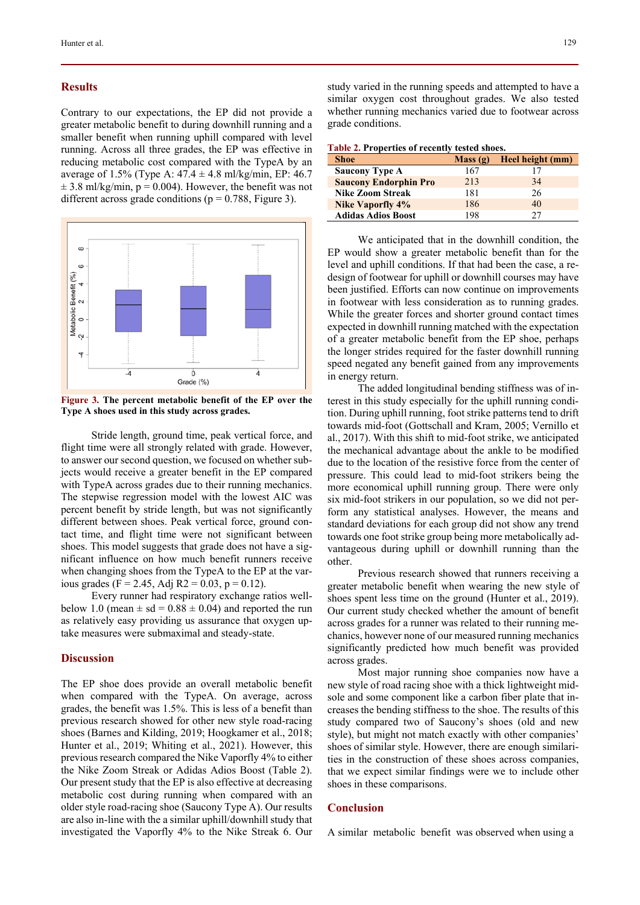### **Results**

Contrary to our expectations, the EP did not provide a greater metabolic benefit to during downhill running and a smaller benefit when running uphill compared with level running. Across all three grades, the EP was effective in reducing metabolic cost compared with the TypeA by an average of 1.5% (Type A:  $47.4 \pm 4.8$  ml/kg/min, EP: 46.7  $\pm$  3.8 ml/kg/min, p = 0.004). However, the benefit was not different across grade conditions ( $p = 0.788$ , Figure 3).



**Figure 3. The percent metabolic benefit of the EP over the Type A shoes used in this study across grades.** 

Stride length, ground time, peak vertical force, and flight time were all strongly related with grade. However, to answer our second question, we focused on whether subjects would receive a greater benefit in the EP compared with TypeA across grades due to their running mechanics. The stepwise regression model with the lowest AIC was percent benefit by stride length, but was not significantly different between shoes. Peak vertical force, ground contact time, and flight time were not significant between shoes. This model suggests that grade does not have a significant influence on how much benefit runners receive when changing shoes from the TypeA to the EP at the various grades (F = 2.45, Adj R2 = 0.03, p = 0.12).

Every runner had respiratory exchange ratios wellbelow 1.0 (mean  $\pm$  sd = 0.88  $\pm$  0.04) and reported the run as relatively easy providing us assurance that oxygen uptake measures were submaximal and steady-state.

## **Discussion**

The EP shoe does provide an overall metabolic benefit when compared with the TypeA. On average, across grades, the benefit was 1.5%. This is less of a benefit than previous research showed for other new style road-racing shoes (Barnes and Kilding, 2019; Hoogkamer et al., 2018; Hunter et al., 2019; Whiting et al., 2021). However, this previous research compared the Nike Vaporfly 4% to either the Nike Zoom Streak or Adidas Adios Boost (Table 2). Our present study that the EP is also effective at decreasing metabolic cost during running when compared with an older style road-racing shoe (Saucony Type A). Our results are also in-line with the a similar uphill/downhill study that investigated the Vaporfly 4% to the Nike Streak 6. Our study varied in the running speeds and attempted to have a similar oxygen cost throughout grades. We also tested whether running mechanics varied due to footwear across grade conditions.

| Table 2. Properties of recently tested shoes. |
|-----------------------------------------------|
|-----------------------------------------------|

| <b>Shoe</b>                  | Mass(g) | Heel height (mm) |
|------------------------------|---------|------------------|
| <b>Saucony Type A</b>        | 167     |                  |
| <b>Saucony Endorphin Pro</b> | 213     | 34               |
| <b>Nike Zoom Streak</b>      | 181     | 26               |
| <b>Nike Vaporfly 4%</b>      | 186     | 40               |
| <b>Adidas Adios Boost</b>    | 198     | 27               |

We anticipated that in the downhill condition, the EP would show a greater metabolic benefit than for the level and uphill conditions. If that had been the case, a redesign of footwear for uphill or downhill courses may have been justified. Efforts can now continue on improvements in footwear with less consideration as to running grades. While the greater forces and shorter ground contact times expected in downhill running matched with the expectation of a greater metabolic benefit from the EP shoe, perhaps the longer strides required for the faster downhill running speed negated any benefit gained from any improvements in energy return.

The added longitudinal bending stiffness was of interest in this study especially for the uphill running condition. During uphill running, foot strike patterns tend to drift towards mid-foot (Gottschall and Kram, 2005; Vernillo et al., 2017). With this shift to mid-foot strike, we anticipated the mechanical advantage about the ankle to be modified due to the location of the resistive force from the center of pressure. This could lead to mid-foot strikers being the more economical uphill running group. There were only six mid-foot strikers in our population, so we did not perform any statistical analyses. However, the means and standard deviations for each group did not show any trend towards one foot strike group being more metabolically advantageous during uphill or downhill running than the other.

Previous research showed that runners receiving a greater metabolic benefit when wearing the new style of shoes spent less time on the ground (Hunter et al., 2019). Our current study checked whether the amount of benefit across grades for a runner was related to their running mechanics, however none of our measured running mechanics significantly predicted how much benefit was provided across grades.

Most major running shoe companies now have a new style of road racing shoe with a thick lightweight midsole and some component like a carbon fiber plate that increases the bending stiffness to the shoe. The results of this study compared two of Saucony's shoes (old and new style), but might not match exactly with other companies' shoes of similar style. However, there are enough similarities in the construction of these shoes across companies, that we expect similar findings were we to include other shoes in these comparisons.

## **Conclusion**

A similar metabolic benefit was observed when using a